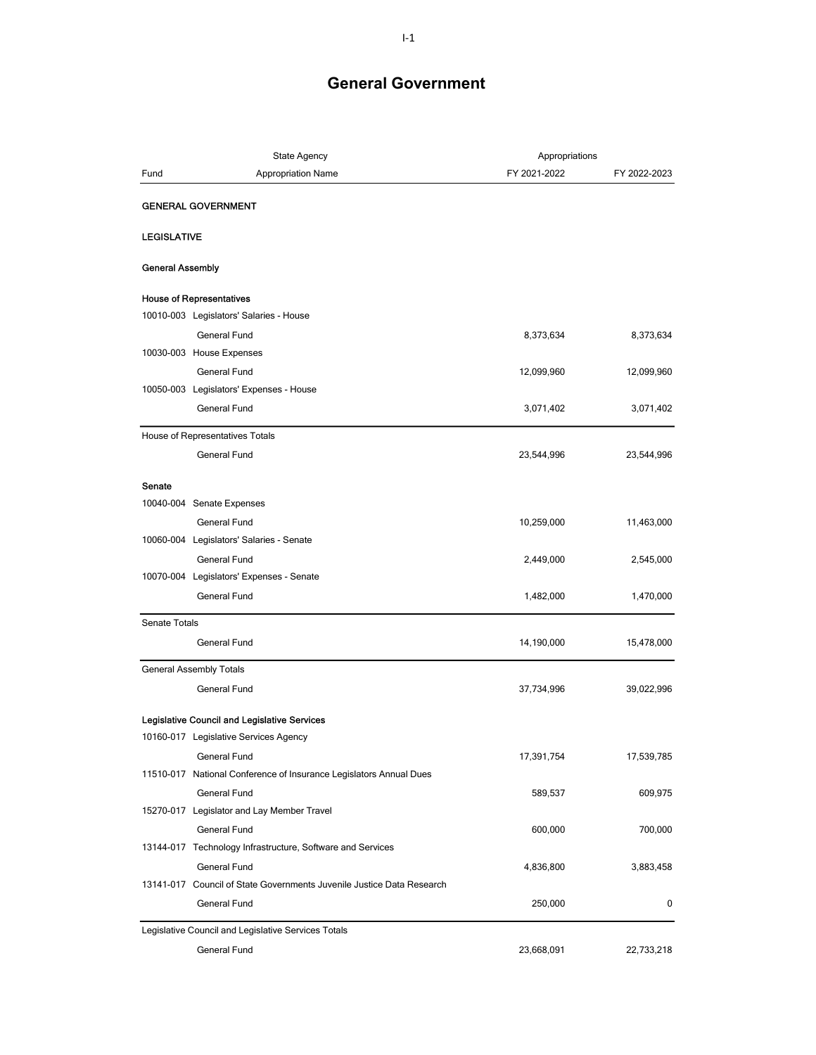|                         | State Agency                                                          | Appropriations |              |
|-------------------------|-----------------------------------------------------------------------|----------------|--------------|
| Fund                    | <b>Appropriation Name</b>                                             | FY 2021-2022   | FY 2022-2023 |
|                         | <b>GENERAL GOVERNMENT</b>                                             |                |              |
|                         |                                                                       |                |              |
| <b>LEGISLATIVE</b>      |                                                                       |                |              |
| <b>General Assembly</b> |                                                                       |                |              |
|                         | <b>House of Representatives</b>                                       |                |              |
|                         | 10010-003 Legislators' Salaries - House                               |                |              |
|                         | General Fund                                                          | 8,373,634      | 8,373,634    |
|                         | 10030-003 House Expenses                                              |                |              |
|                         | <b>General Fund</b>                                                   | 12,099,960     | 12,099,960   |
|                         | 10050-003 Legislators' Expenses - House                               |                |              |
|                         | General Fund                                                          | 3,071,402      | 3,071,402    |
|                         | House of Representatives Totals                                       |                |              |
|                         | General Fund                                                          | 23,544,996     | 23,544,996   |
| Senate                  |                                                                       |                |              |
|                         | 10040-004 Senate Expenses                                             |                |              |
|                         | <b>General Fund</b>                                                   | 10,259,000     | 11,463,000   |
|                         | 10060-004 Legislators' Salaries - Senate                              |                |              |
|                         | <b>General Fund</b>                                                   | 2,449,000      | 2,545,000    |
|                         | 10070-004 Legislators' Expenses - Senate                              |                |              |
|                         | General Fund                                                          | 1,482,000      | 1,470,000    |
| Senate Totals           |                                                                       |                |              |
|                         | General Fund                                                          | 14,190,000     | 15,478,000   |
|                         | General Assembly Totals                                               |                |              |
|                         | General Fund                                                          | 37,734,996     | 39,022,996   |
|                         | Legislative Council and Legislative Services                          |                |              |
|                         | 10160-017 Legislative Services Agency                                 |                |              |
|                         | General Fund                                                          | 17,391,754     | 17,539,785   |
|                         | 11510-017 National Conference of Insurance Legislators Annual Dues    |                |              |
|                         | General Fund                                                          | 589,537        | 609,975      |
|                         | 15270-017 Legislator and Lay Member Travel                            |                |              |
|                         | General Fund                                                          | 600,000        | 700,000      |
|                         | 13144-017 Technology Infrastructure, Software and Services            |                |              |
|                         | General Fund                                                          | 4,836,800      | 3,883,458    |
|                         | 13141-017 Council of State Governments Juvenile Justice Data Research |                |              |
|                         | General Fund                                                          | 250,000        | 0            |
|                         | Legislative Council and Legislative Services Totals                   |                |              |
|                         | General Fund                                                          | 23,668,091     | 22,733,218   |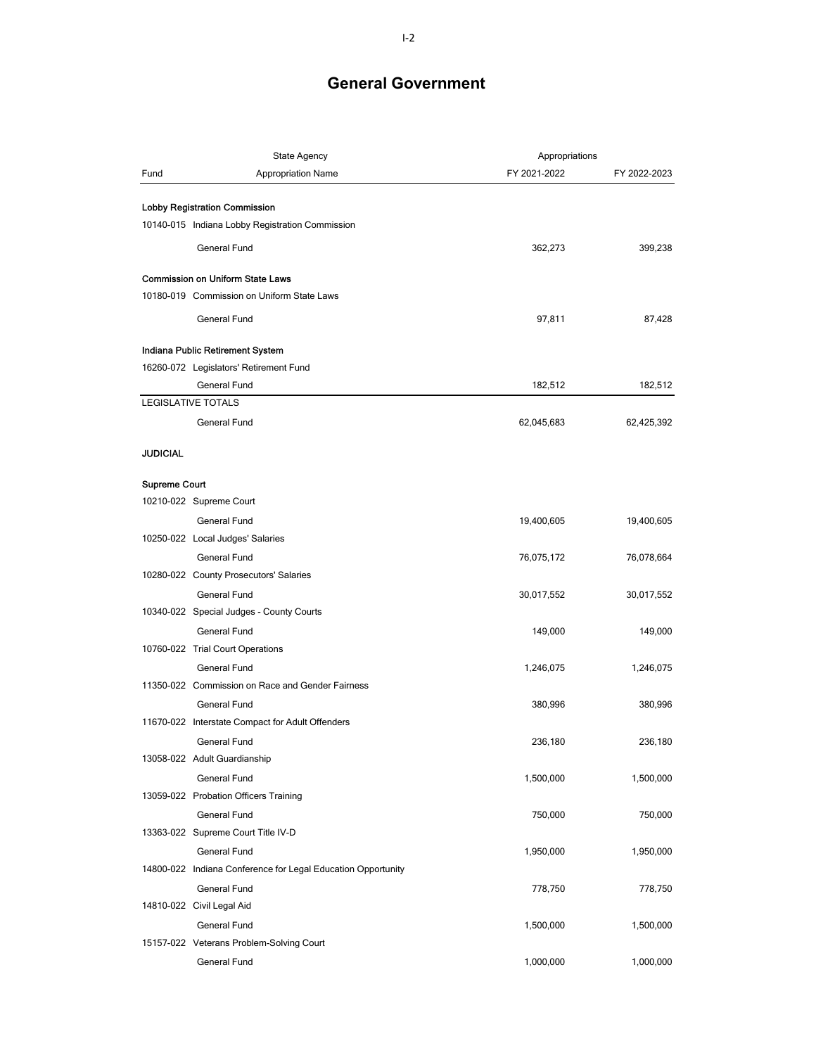|               | State Agency                                                 | Appropriations |              |
|---------------|--------------------------------------------------------------|----------------|--------------|
| Fund          | <b>Appropriation Name</b>                                    | FY 2021-2022   | FY 2022-2023 |
|               |                                                              |                |              |
|               | <b>Lobby Registration Commission</b>                         |                |              |
|               | 10140-015 Indiana Lobby Registration Commission              |                |              |
|               | General Fund                                                 | 362,273        | 399,238      |
|               | <b>Commission on Uniform State Laws</b>                      |                |              |
|               | 10180-019 Commission on Uniform State Laws                   |                |              |
|               |                                                              |                |              |
|               | General Fund                                                 | 97,811         | 87,428       |
|               | Indiana Public Retirement System                             |                |              |
|               | 16260-072 Legislators' Retirement Fund                       |                |              |
|               | General Fund                                                 | 182,512        | 182,512      |
|               | <b>LEGISLATIVE TOTALS</b>                                    |                |              |
|               | General Fund                                                 | 62,045,683     | 62,425,392   |
|               |                                                              |                |              |
| JUDICIAL      |                                                              |                |              |
| Supreme Court |                                                              |                |              |
|               | 10210-022 Supreme Court                                      |                |              |
|               | General Fund                                                 | 19,400,605     | 19,400,605   |
|               | 10250-022 Local Judges' Salaries                             |                |              |
|               | General Fund                                                 | 76,075,172     | 76,078,664   |
|               | 10280-022 County Prosecutors' Salaries                       |                |              |
|               | General Fund                                                 | 30,017,552     | 30,017,552   |
|               | 10340-022 Special Judges - County Courts                     |                |              |
|               | General Fund                                                 | 149,000        | 149,000      |
|               | 10760-022 Trial Court Operations                             |                |              |
|               | General Fund                                                 | 1,246,075      | 1,246,075    |
|               | 11350-022 Commission on Race and Gender Fairness             |                |              |
|               | <b>General Fund</b>                                          | 380,996        | 380,996      |
|               | 11670-022 Interstate Compact for Adult Offenders             |                |              |
|               | <b>General Fund</b>                                          | 236,180        | 236.180      |
|               | 13058-022 Adult Guardianship                                 |                |              |
|               | General Fund                                                 | 1,500,000      | 1,500,000    |
|               | 13059-022 Probation Officers Training                        |                |              |
|               | <b>General Fund</b>                                          | 750,000        | 750,000      |
|               | 13363-022 Supreme Court Title IV-D                           |                |              |
|               | General Fund                                                 | 1,950,000      | 1,950,000    |
|               | 14800-022 Indiana Conference for Legal Education Opportunity |                |              |
|               | General Fund                                                 | 778,750        | 778,750      |
|               | 14810-022 Civil Legal Aid                                    |                |              |
|               | <b>General Fund</b>                                          | 1,500,000      | 1,500,000    |
|               | 15157-022 Veterans Problem-Solving Court                     |                |              |
|               | General Fund                                                 | 1,000,000      | 1,000,000    |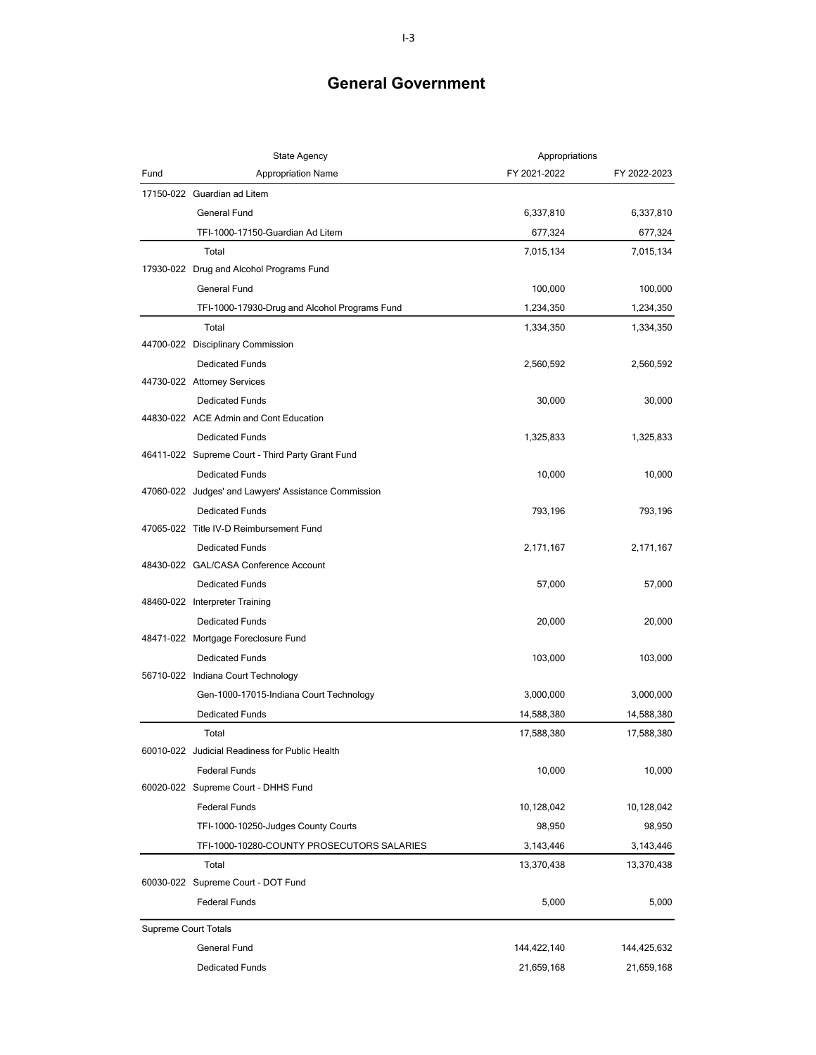|                             | <b>State Agency</b>                                  | Appropriations |              |
|-----------------------------|------------------------------------------------------|----------------|--------------|
| Fund                        | <b>Appropriation Name</b>                            | FY 2021-2022   | FY 2022-2023 |
|                             | 17150-022 Guardian ad Litem                          |                |              |
|                             | <b>General Fund</b>                                  | 6,337,810      | 6,337,810    |
|                             | TFI-1000-17150-Guardian Ad Litem                     | 677,324        | 677,324      |
|                             | Total                                                | 7,015,134      | 7,015,134    |
|                             | 17930-022 Drug and Alcohol Programs Fund             |                |              |
|                             | General Fund                                         | 100,000        | 100,000      |
|                             | TFI-1000-17930-Drug and Alcohol Programs Fund        | 1,234,350      | 1,234,350    |
|                             | Total                                                | 1,334,350      | 1,334,350    |
|                             | 44700-022 Disciplinary Commission                    |                |              |
|                             | <b>Dedicated Funds</b>                               | 2,560,592      | 2,560,592    |
|                             | 44730-022 Attorney Services                          |                |              |
|                             | <b>Dedicated Funds</b>                               | 30,000         | 30,000       |
|                             | 44830-022 ACE Admin and Cont Education               |                |              |
|                             | <b>Dedicated Funds</b>                               | 1,325,833      | 1,325,833    |
|                             | 46411-022 Supreme Court - Third Party Grant Fund     |                |              |
|                             | <b>Dedicated Funds</b>                               | 10,000         | 10,000       |
|                             | 47060-022 Judges' and Lawyers' Assistance Commission |                |              |
|                             | <b>Dedicated Funds</b>                               | 793,196        | 793,196      |
|                             | 47065-022 Title IV-D Reimbursement Fund              |                |              |
|                             | <b>Dedicated Funds</b>                               | 2,171,167      | 2,171,167    |
|                             | 48430-022 GAL/CASA Conference Account                |                |              |
|                             | <b>Dedicated Funds</b>                               | 57,000         | 57,000       |
|                             | 48460-022 Interpreter Training                       |                |              |
|                             | <b>Dedicated Funds</b>                               | 20,000         | 20,000       |
|                             | 48471-022 Mortgage Foreclosure Fund                  |                |              |
|                             | <b>Dedicated Funds</b>                               | 103,000        | 103,000      |
|                             | 56710-022 Indiana Court Technology                   |                |              |
|                             | Gen-1000-17015-Indiana Court Technology              | 3,000,000      | 3,000,000    |
|                             | <b>Dedicated Funds</b>                               | 14,588,380     | 14,588,380   |
|                             | Total                                                | 17,588,380     | 17,588,380   |
|                             | 60010-022 Judicial Readiness for Public Health       |                |              |
|                             | <b>Federal Funds</b>                                 | 10,000         | 10,000       |
|                             | 60020-022 Supreme Court - DHHS Fund                  |                |              |
|                             | <b>Federal Funds</b>                                 | 10,128,042     | 10,128,042   |
|                             | TFI-1000-10250-Judges County Courts                  | 98,950         | 98,950       |
|                             | TFI-1000-10280-COUNTY PROSECUTORS SALARIES           | 3,143,446      | 3,143,446    |
|                             | Total                                                | 13,370,438     | 13,370,438   |
|                             | 60030-022 Supreme Court - DOT Fund                   |                |              |
|                             | <b>Federal Funds</b>                                 | 5,000          | 5,000        |
| <b>Supreme Court Totals</b> |                                                      |                |              |
|                             | <b>General Fund</b>                                  | 144,422,140    | 144,425,632  |
|                             | <b>Dedicated Funds</b>                               | 21,659,168     | 21,659,168   |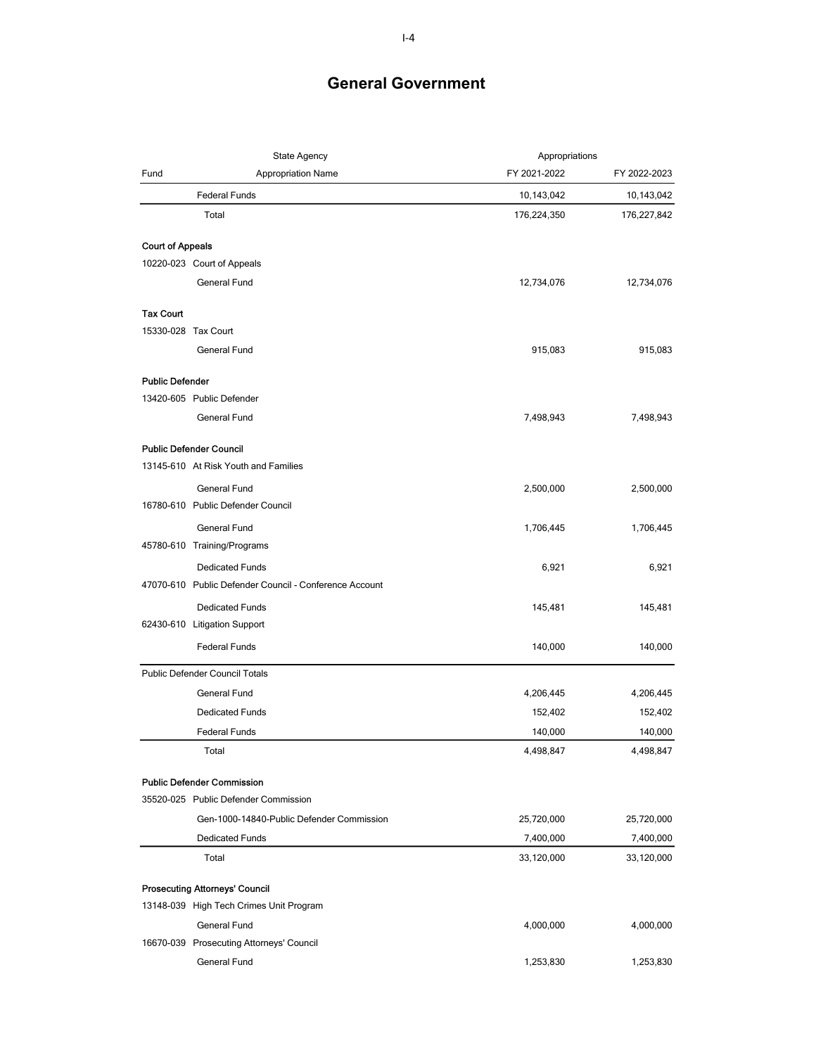|                         | State Agency                                           | Appropriations |              |
|-------------------------|--------------------------------------------------------|----------------|--------------|
| Fund                    | <b>Appropriation Name</b>                              | FY 2021-2022   | FY 2022-2023 |
|                         | <b>Federal Funds</b>                                   | 10,143,042     | 10,143,042   |
|                         | Total                                                  | 176,224,350    | 176,227,842  |
| <b>Court of Appeals</b> |                                                        |                |              |
|                         | 10220-023 Court of Appeals                             |                |              |
|                         | General Fund                                           | 12,734,076     | 12,734,076   |
| <b>Tax Court</b>        |                                                        |                |              |
|                         | 15330-028 Tax Court                                    |                |              |
|                         | General Fund                                           | 915,083        | 915,083      |
| <b>Public Defender</b>  |                                                        |                |              |
|                         | 13420-605 Public Defender                              |                |              |
|                         | <b>General Fund</b>                                    | 7,498,943      | 7,498,943    |
|                         | <b>Public Defender Council</b>                         |                |              |
|                         | 13145-610 At Risk Youth and Families                   |                |              |
|                         | General Fund                                           | 2,500,000      | 2,500,000    |
|                         | 16780-610 Public Defender Council                      |                |              |
|                         | General Fund                                           | 1,706,445      | 1,706,445    |
|                         | 45780-610 Training/Programs                            |                |              |
|                         | <b>Dedicated Funds</b>                                 | 6,921          | 6,921        |
|                         | 47070-610 Public Defender Council - Conference Account |                |              |
|                         | <b>Dedicated Funds</b>                                 | 145,481        | 145,481      |
|                         | 62430-610 Litigation Support                           |                |              |
|                         | <b>Federal Funds</b>                                   | 140,000        | 140,000      |
|                         | <b>Public Defender Council Totals</b>                  |                |              |
|                         | <b>General Fund</b>                                    | 4,206,445      | 4,206,445    |
|                         | <b>Dedicated Funds</b>                                 | 152,402        | 152,402      |
|                         | <b>Federal Funds</b>                                   | 140,000        | 140,000      |
|                         | Total                                                  | 4,498,847      | 4,498,847    |
|                         | <b>Public Defender Commission</b>                      |                |              |
|                         | 35520-025 Public Defender Commission                   |                |              |
|                         | Gen-1000-14840-Public Defender Commission              | 25,720,000     | 25,720,000   |
|                         | <b>Dedicated Funds</b>                                 | 7,400,000      | 7,400,000    |
|                         | Total                                                  | 33,120,000     | 33,120,000   |
|                         | <b>Prosecuting Attorneys' Council</b>                  |                |              |
|                         | 13148-039 High Tech Crimes Unit Program                |                |              |
|                         | General Fund                                           | 4,000,000      | 4,000,000    |
|                         | 16670-039 Prosecuting Attorneys' Council               |                |              |
|                         | General Fund                                           | 1,253,830      | 1,253,830    |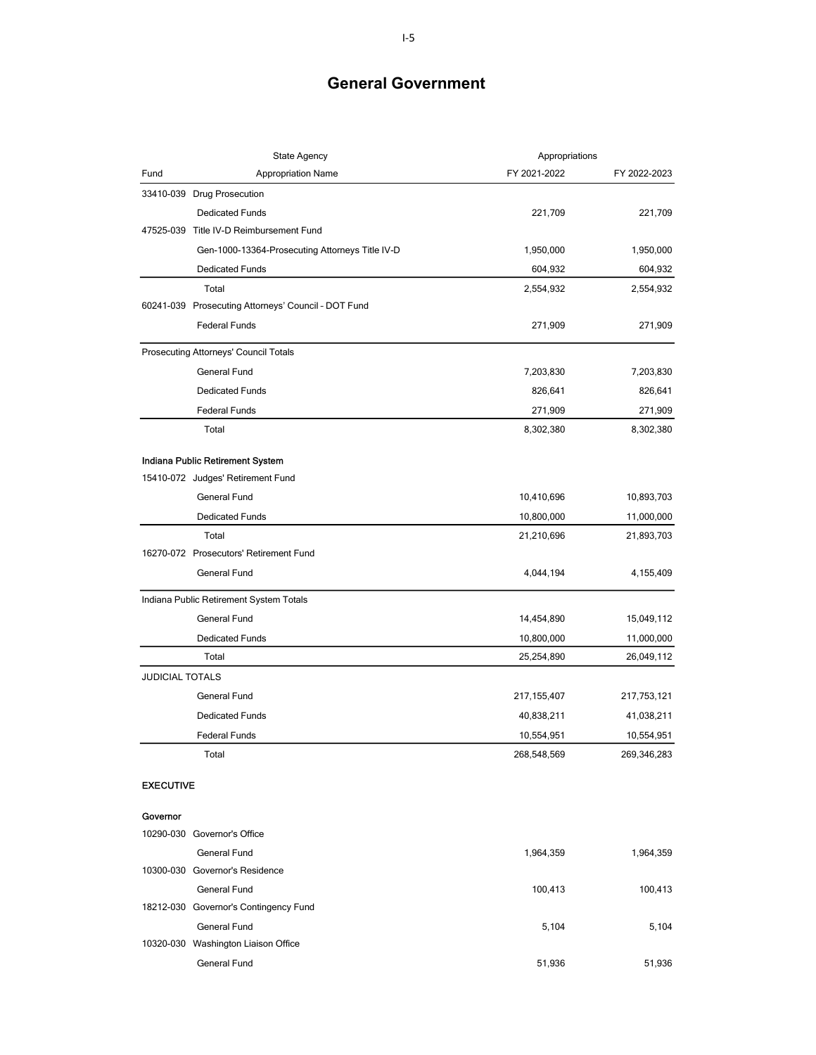|                        | State Agency                                        | Appropriations |              |
|------------------------|-----------------------------------------------------|----------------|--------------|
| Fund                   | <b>Appropriation Name</b>                           | FY 2021-2022   | FY 2022-2023 |
|                        | 33410-039 Drug Prosecution                          |                |              |
|                        | <b>Dedicated Funds</b>                              | 221,709        | 221,709      |
|                        | 47525-039 Title IV-D Reimbursement Fund             |                |              |
|                        | Gen-1000-13364-Prosecuting Attorneys Title IV-D     | 1,950,000      | 1,950,000    |
|                        | <b>Dedicated Funds</b>                              | 604,932        | 604,932      |
|                        | Total                                               | 2,554,932      | 2,554,932    |
|                        | 60241-039 Prosecuting Attorneys' Council - DOT Fund |                |              |
|                        | <b>Federal Funds</b>                                | 271,909        | 271,909      |
|                        | Prosecuting Attorneys' Council Totals               |                |              |
|                        | <b>General Fund</b>                                 | 7,203,830      | 7,203,830    |
|                        | <b>Dedicated Funds</b>                              | 826,641        | 826,641      |
|                        | <b>Federal Funds</b>                                | 271,909        | 271,909      |
|                        | Total                                               | 8,302,380      | 8,302,380    |
|                        | Indiana Public Retirement System                    |                |              |
|                        | 15410-072 Judges' Retirement Fund                   |                |              |
|                        | <b>General Fund</b>                                 | 10,410,696     | 10,893,703   |
|                        | <b>Dedicated Funds</b>                              | 10,800,000     | 11,000,000   |
|                        | Total                                               | 21,210,696     | 21,893,703   |
|                        | 16270-072 Prosecutors' Retirement Fund              |                |              |
|                        | <b>General Fund</b>                                 | 4,044,194      | 4,155,409    |
|                        | Indiana Public Retirement System Totals             |                |              |
|                        | General Fund                                        | 14,454,890     | 15,049,112   |
|                        | <b>Dedicated Funds</b>                              | 10,800,000     | 11,000,000   |
|                        | Total                                               | 25,254,890     | 26,049,112   |
| <b>JUDICIAL TOTALS</b> |                                                     |                |              |
|                        | <b>General Fund</b>                                 | 217, 155, 407  | 217,753,121  |
|                        | <b>Dedicated Funds</b>                              | 40,838,211     | 41,038,211   |
|                        | <b>Federal Funds</b>                                | 10,554,951     | 10,554,951   |
|                        | Total                                               | 268,548,569    | 269,346,283  |
| <b>EXECUTIVE</b>       |                                                     |                |              |
| Governor               |                                                     |                |              |
|                        | 10290-030 Governor's Office                         |                |              |
|                        | General Fund                                        | 1,964,359      | 1,964,359    |
|                        | 10300-030 Governor's Residence                      |                |              |
|                        | <b>General Fund</b>                                 | 100,413        | 100,413      |
|                        | 18212-030 Governor's Contingency Fund               |                |              |
|                        | General Fund                                        | 5,104          | 5,104        |
|                        | 10320-030 Washington Liaison Office                 |                |              |
|                        | General Fund                                        | 51,936         | 51,936       |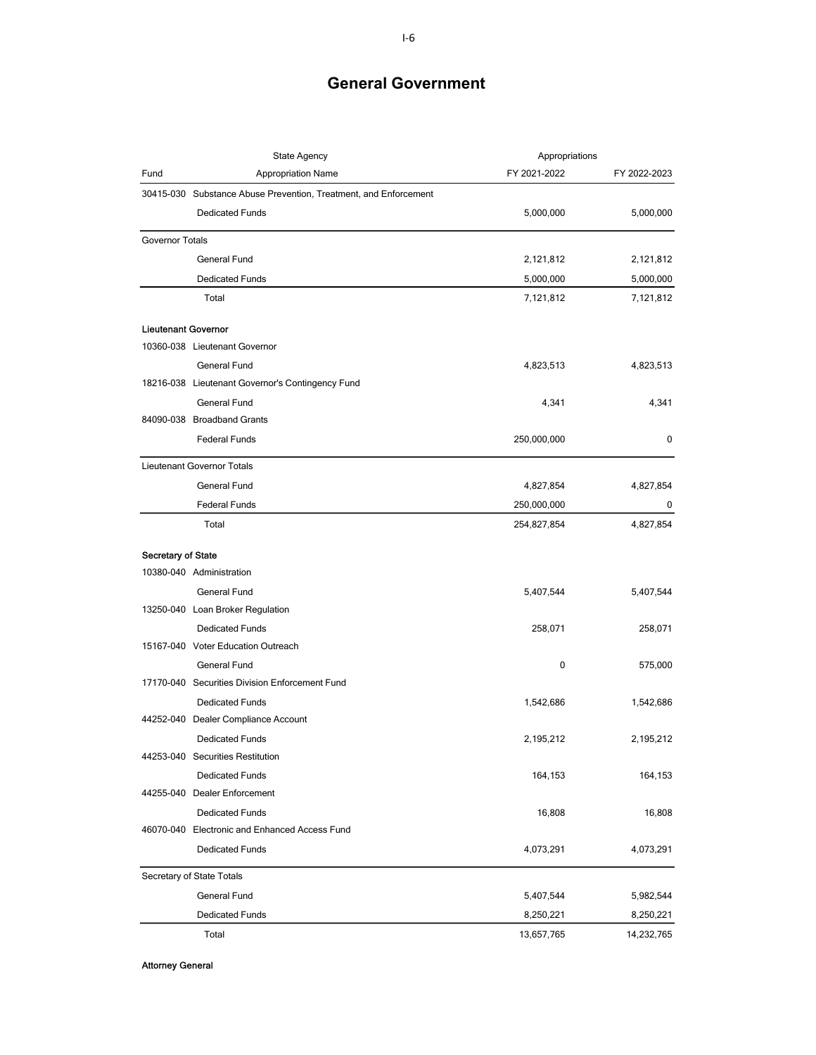|                            | <b>State Agency</b>                                              | Appropriations |              |
|----------------------------|------------------------------------------------------------------|----------------|--------------|
| Fund                       | <b>Appropriation Name</b>                                        | FY 2021-2022   | FY 2022-2023 |
|                            | 30415-030 Substance Abuse Prevention, Treatment, and Enforcement |                |              |
|                            | <b>Dedicated Funds</b>                                           | 5,000,000      | 5,000,000    |
| <b>Governor Totals</b>     |                                                                  |                |              |
|                            | <b>General Fund</b>                                              | 2,121,812      | 2,121,812    |
|                            | <b>Dedicated Funds</b>                                           | 5,000,000      | 5,000,000    |
|                            | Total                                                            | 7,121,812      | 7,121,812    |
| <b>Lieutenant Governor</b> |                                                                  |                |              |
|                            | 10360-038 Lieutenant Governor                                    |                |              |
|                            | General Fund                                                     | 4,823,513      | 4,823,513    |
|                            | 18216-038 Lieutenant Governor's Contingency Fund                 |                |              |
|                            | General Fund                                                     | 4,341          | 4,341        |
|                            | 84090-038 Broadband Grants                                       |                |              |
|                            | <b>Federal Funds</b>                                             | 250,000,000    | 0            |
|                            | Lieutenant Governor Totals                                       |                |              |
|                            | General Fund                                                     | 4,827,854      | 4,827,854    |
|                            | <b>Federal Funds</b>                                             | 250,000,000    | 0            |
|                            | Total                                                            | 254,827,854    | 4,827,854    |
| <b>Secretary of State</b>  |                                                                  |                |              |
|                            | 10380-040 Administration                                         |                |              |
|                            | General Fund                                                     | 5,407,544      | 5,407,544    |
|                            | 13250-040 Loan Broker Regulation                                 |                |              |
|                            | <b>Dedicated Funds</b>                                           | 258,071        | 258,071      |
|                            | 15167-040 Voter Education Outreach                               |                |              |
|                            | <b>General Fund</b>                                              | 0              | 575,000      |
|                            | 17170-040 Securities Division Enforcement Fund                   |                |              |
|                            | <b>Dedicated Funds</b>                                           | 1,542,686      | 1,542,686    |
|                            | 44252-040 Dealer Compliance Account                              |                |              |
|                            | <b>Dedicated Funds</b>                                           | 2,195,212      | 2,195,212    |
|                            | 44253-040 Securities Restitution                                 |                |              |
|                            | <b>Dedicated Funds</b>                                           | 164,153        | 164,153      |
|                            | 44255-040 Dealer Enforcement                                     |                |              |
|                            | <b>Dedicated Funds</b>                                           | 16,808         | 16,808       |
|                            | 46070-040 Electronic and Enhanced Access Fund                    |                |              |
|                            | <b>Dedicated Funds</b>                                           | 4,073,291      | 4,073,291    |
|                            | Secretary of State Totals                                        |                |              |
|                            | General Fund                                                     | 5,407,544      | 5,982,544    |
|                            | <b>Dedicated Funds</b>                                           | 8,250,221      | 8,250,221    |
|                            | Total                                                            | 13,657,765     | 14,232,765   |

Attorney General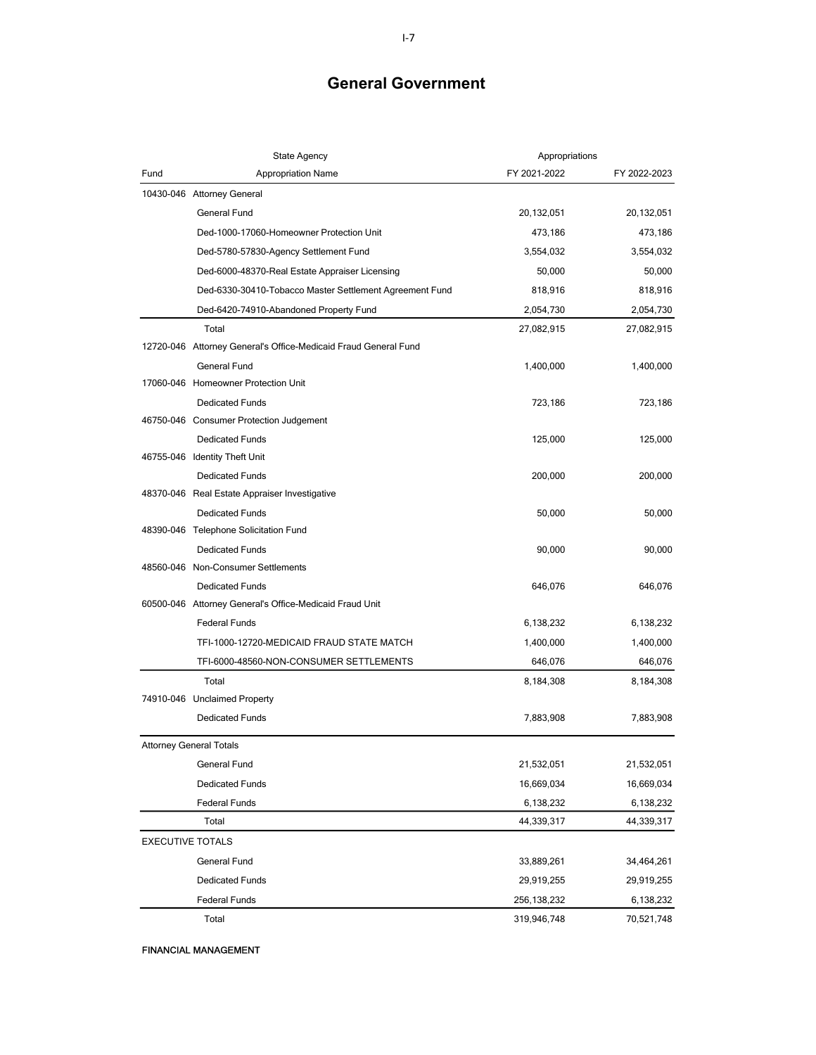| <b>State Agency</b>                                             | Appropriations |              |
|-----------------------------------------------------------------|----------------|--------------|
| Fund<br><b>Appropriation Name</b>                               | FY 2021-2022   | FY 2022-2023 |
| 10430-046 Attorney General                                      |                |              |
| General Fund                                                    | 20,132,051     | 20,132,051   |
| Ded-1000-17060-Homeowner Protection Unit                        | 473,186        | 473,186      |
| Ded-5780-57830-Agency Settlement Fund                           | 3,554,032      | 3,554,032    |
| Ded-6000-48370-Real Estate Appraiser Licensing                  | 50,000         | 50,000       |
| Ded-6330-30410-Tobacco Master Settlement Agreement Fund         | 818,916        | 818,916      |
| Ded-6420-74910-Abandoned Property Fund                          | 2,054,730      | 2,054,730    |
| Total                                                           | 27,082,915     | 27,082,915   |
| 12720-046 Attorney General's Office-Medicaid Fraud General Fund |                |              |
| <b>General Fund</b>                                             | 1,400,000      | 1,400,000    |
| 17060-046 Homeowner Protection Unit                             |                |              |
| <b>Dedicated Funds</b>                                          | 723,186        | 723,186      |
| 46750-046 Consumer Protection Judgement                         |                |              |
| <b>Dedicated Funds</b>                                          | 125,000        | 125,000      |
| 46755-046 Identity Theft Unit                                   |                |              |
| <b>Dedicated Funds</b>                                          | 200,000        | 200,000      |
| 48370-046 Real Estate Appraiser Investigative                   |                |              |
| <b>Dedicated Funds</b>                                          | 50,000         | 50,000       |
| 48390-046 Telephone Solicitation Fund                           |                |              |
| <b>Dedicated Funds</b>                                          | 90,000         | 90,000       |
| 48560-046 Non-Consumer Settlements                              |                |              |
| <b>Dedicated Funds</b>                                          | 646,076        | 646,076      |
| 60500-046 Attorney General's Office-Medicaid Fraud Unit         |                |              |
| <b>Federal Funds</b>                                            | 6,138,232      | 6,138,232    |
| TFI-1000-12720-MEDICAID FRAUD STATE MATCH                       | 1,400,000      | 1,400,000    |
| TFI-6000-48560-NON-CONSUMER SETTLEMENTS                         | 646,076        | 646,076      |
| Total                                                           | 8,184,308      | 8,184,308    |
| 74910-046 Unclaimed Property                                    |                |              |
| <b>Dedicated Funds</b>                                          | 7,883,908      | 7,883,908    |
| <b>Attorney General Totals</b>                                  |                |              |
| General Fund                                                    | 21,532,051     | 21,532,051   |
| <b>Dedicated Funds</b>                                          | 16,669,034     | 16,669,034   |
| <b>Federal Funds</b>                                            | 6,138,232      | 6,138,232    |
| Total                                                           | 44,339,317     | 44,339,317   |
| <b>EXECUTIVE TOTALS</b>                                         |                |              |
| General Fund                                                    | 33,889,261     | 34,464,261   |
| <b>Dedicated Funds</b>                                          | 29,919,255     | 29,919,255   |
| <b>Federal Funds</b>                                            | 256,138,232    | 6,138,232    |
| Total                                                           | 319,946,748    | 70,521,748   |

FINANCIAL MANAGEMENT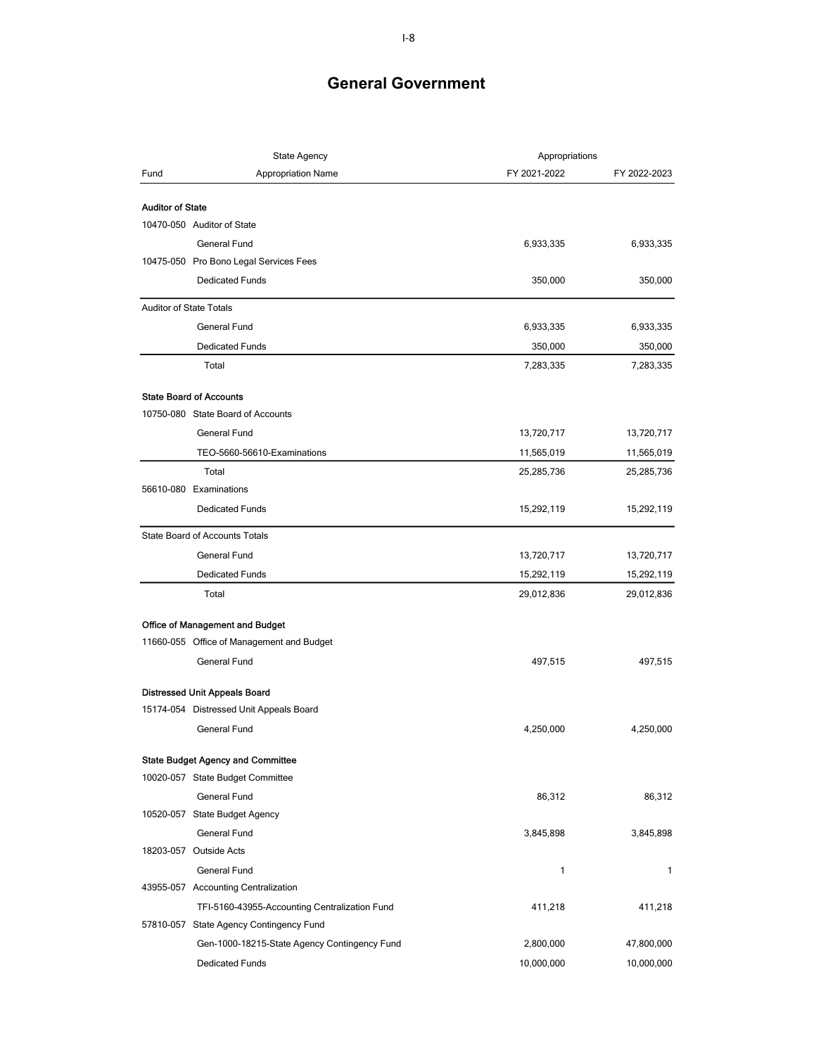|                                | <b>State Agency</b>                           | Appropriations |              |
|--------------------------------|-----------------------------------------------|----------------|--------------|
| Fund                           | <b>Appropriation Name</b>                     | FY 2021-2022   | FY 2022-2023 |
|                                |                                               |                |              |
| <b>Auditor of State</b>        | 10470-050 Auditor of State                    |                |              |
|                                |                                               |                |              |
|                                | General Fund                                  | 6,933,335      | 6,933,335    |
|                                | 10475-050 Pro Bono Legal Services Fees        |                |              |
|                                | <b>Dedicated Funds</b>                        | 350,000        | 350,000      |
| <b>Auditor of State Totals</b> |                                               |                |              |
|                                | General Fund                                  | 6,933,335      | 6,933,335    |
|                                | <b>Dedicated Funds</b>                        | 350,000        | 350,000      |
|                                | Total                                         | 7,283,335      | 7,283,335    |
|                                | <b>State Board of Accounts</b>                |                |              |
|                                | 10750-080 State Board of Accounts             |                |              |
|                                | General Fund                                  | 13,720,717     | 13,720,717   |
|                                | TEO-5660-56610-Examinations                   | 11,565,019     | 11,565,019   |
|                                | Total                                         | 25,285,736     | 25,285,736   |
|                                | 56610-080 Examinations                        |                |              |
|                                | <b>Dedicated Funds</b>                        | 15,292,119     | 15,292,119   |
|                                | <b>State Board of Accounts Totals</b>         |                |              |
|                                | General Fund                                  | 13,720,717     | 13,720,717   |
|                                | <b>Dedicated Funds</b>                        | 15,292,119     | 15,292,119   |
|                                | Total                                         | 29,012,836     | 29,012,836   |
|                                |                                               |                |              |
|                                | Office of Management and Budget               |                |              |
|                                | 11660-055 Office of Management and Budget     |                |              |
|                                | General Fund                                  | 497,515        | 497,515      |
|                                | Distressed Unit Appeals Board                 |                |              |
|                                | 15174-054 Distressed Unit Appeals Board       |                |              |
|                                | <b>General Fund</b>                           | 4,250,000      | 4,250,000    |
|                                | <b>State Budget Agency and Committee</b>      |                |              |
|                                | 10020-057 State Budget Committee              |                |              |
|                                | General Fund                                  | 86,312         | 86,312       |
|                                | 10520-057 State Budget Agency                 |                |              |
|                                | General Fund                                  | 3,845,898      | 3,845,898    |
|                                | 18203-057 Outside Acts                        |                |              |
|                                | <b>General Fund</b>                           | 1              | 1            |
|                                | 43955-057 Accounting Centralization           |                |              |
|                                | TFI-5160-43955-Accounting Centralization Fund | 411,218        | 411,218      |
|                                | 57810-057 State Agency Contingency Fund       |                |              |
|                                | Gen-1000-18215-State Agency Contingency Fund  | 2,800,000      | 47,800,000   |
|                                | <b>Dedicated Funds</b>                        | 10,000,000     | 10,000,000   |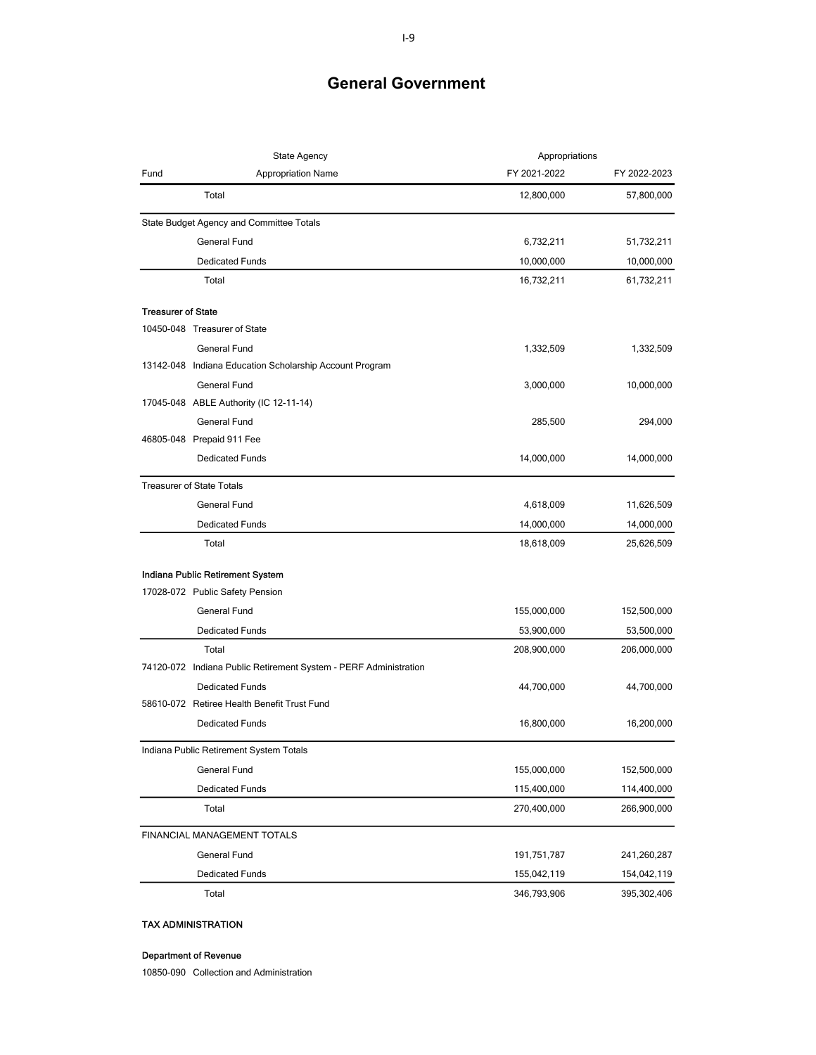| State Agency              |                                                                  | Appropriations |              |
|---------------------------|------------------------------------------------------------------|----------------|--------------|
| Fund                      | <b>Appropriation Name</b>                                        | FY 2021-2022   | FY 2022-2023 |
|                           | Total                                                            | 12,800,000     | 57,800,000   |
|                           | State Budget Agency and Committee Totals                         |                |              |
|                           | General Fund                                                     | 6,732,211      | 51,732,211   |
|                           | <b>Dedicated Funds</b>                                           | 10,000,000     | 10,000,000   |
|                           | Total                                                            | 16,732,211     | 61,732,211   |
| <b>Treasurer of State</b> |                                                                  |                |              |
|                           | 10450-048 Treasurer of State                                     |                |              |
|                           | <b>General Fund</b>                                              | 1,332,509      | 1,332,509    |
|                           | 13142-048 Indiana Education Scholarship Account Program          |                |              |
|                           | General Fund                                                     | 3,000,000      | 10,000,000   |
|                           | 17045-048 ABLE Authority (IC 12-11-14)                           |                |              |
|                           | General Fund                                                     | 285,500        | 294,000      |
|                           | 46805-048 Prepaid 911 Fee                                        |                |              |
|                           | <b>Dedicated Funds</b>                                           | 14,000,000     | 14,000,000   |
|                           | <b>Treasurer of State Totals</b>                                 |                |              |
|                           | General Fund                                                     | 4,618,009      | 11,626,509   |
|                           | <b>Dedicated Funds</b>                                           | 14,000,000     | 14,000,000   |
|                           | Total                                                            | 18,618,009     | 25,626,509   |
|                           | Indiana Public Retirement System                                 |                |              |
|                           | 17028-072 Public Safety Pension                                  |                |              |
|                           | General Fund                                                     | 155,000,000    | 152,500,000  |
|                           | <b>Dedicated Funds</b>                                           | 53,900,000     | 53,500,000   |
|                           | Total                                                            | 208,900,000    | 206,000,000  |
|                           | 74120-072 Indiana Public Retirement System - PERF Administration |                |              |
|                           | <b>Dedicated Funds</b>                                           | 44,700,000     | 44,700,000   |
|                           | 58610-072 Retiree Health Benefit Trust Fund                      |                |              |
|                           | <b>Dedicated Funds</b>                                           | 16,800,000     | 16,200,000   |
|                           | Indiana Public Retirement System Totals                          |                |              |
|                           | General Fund                                                     | 155,000,000    | 152,500,000  |
|                           | <b>Dedicated Funds</b>                                           | 115,400,000    | 114,400,000  |
|                           | Total                                                            | 270,400,000    | 266,900,000  |
|                           | FINANCIAL MANAGEMENT TOTALS                                      |                |              |
|                           | General Fund                                                     | 191,751,787    | 241,260,287  |
|                           | <b>Dedicated Funds</b>                                           | 155,042,119    | 154,042,119  |
|                           | Total                                                            | 346,793,906    | 395,302,406  |

### TAX ADMINISTRATION

#### Department of Revenue

10850-090 Collection and Administration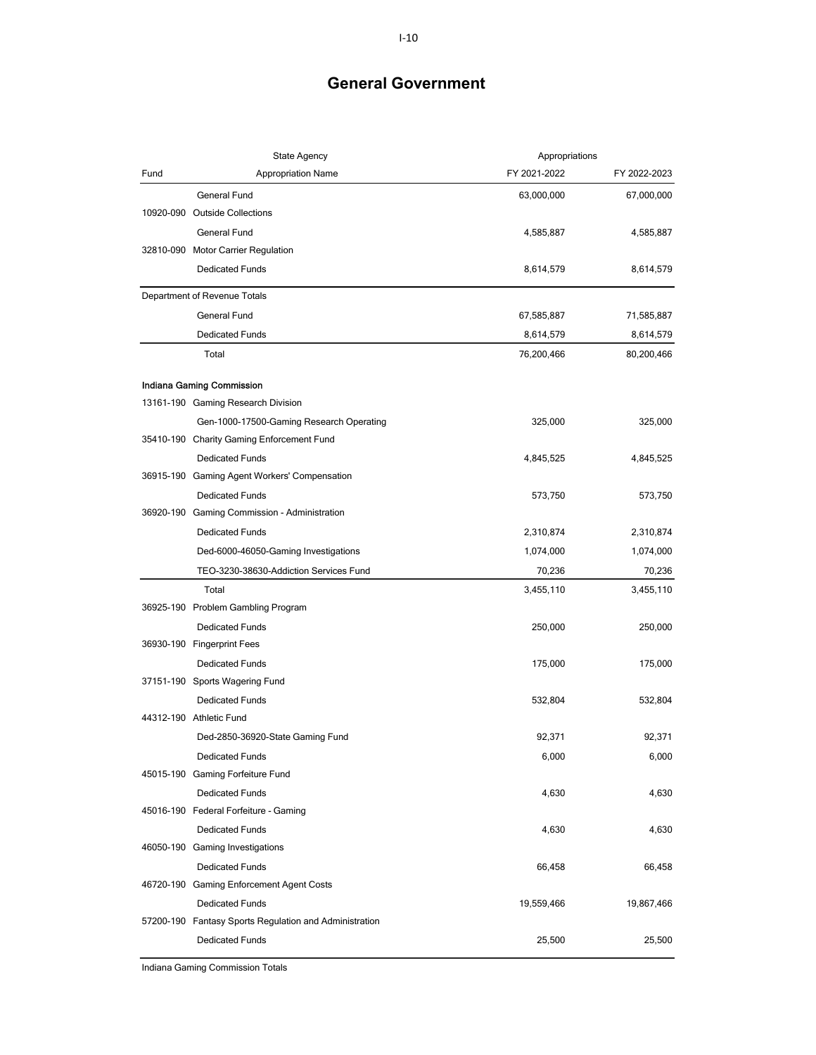|           | <b>State Agency</b>                                    | Appropriations |              |
|-----------|--------------------------------------------------------|----------------|--------------|
| Fund      | <b>Appropriation Name</b>                              | FY 2021-2022   | FY 2022-2023 |
|           | General Fund                                           | 63,000,000     | 67,000,000   |
|           | 10920-090 Outside Collections                          |                |              |
|           | <b>General Fund</b>                                    | 4,585,887      | 4,585,887    |
|           | 32810-090 Motor Carrier Regulation                     |                |              |
|           | <b>Dedicated Funds</b>                                 | 8,614,579      | 8,614,579    |
|           | Department of Revenue Totals                           |                |              |
|           | General Fund                                           | 67,585,887     | 71,585,887   |
|           | <b>Dedicated Funds</b>                                 | 8,614,579      | 8,614,579    |
|           | Total                                                  | 76,200,466     | 80,200,466   |
|           | Indiana Gaming Commission                              |                |              |
|           | 13161-190 Gaming Research Division                     |                |              |
|           | Gen-1000-17500-Gaming Research Operating               | 325,000        | 325,000      |
|           | 35410-190 Charity Gaming Enforcement Fund              |                |              |
|           | <b>Dedicated Funds</b>                                 | 4,845,525      | 4,845,525    |
|           | 36915-190 Gaming Agent Workers' Compensation           |                |              |
|           | <b>Dedicated Funds</b>                                 | 573,750        | 573,750      |
| 36920-190 | Gaming Commission - Administration                     |                |              |
|           | <b>Dedicated Funds</b>                                 | 2,310,874      | 2,310,874    |
|           | Ded-6000-46050-Gaming Investigations                   | 1,074,000      | 1,074,000    |
|           | TEO-3230-38630-Addiction Services Fund                 | 70,236         | 70,236       |
|           | Total                                                  | 3,455,110      | 3,455,110    |
|           | 36925-190 Problem Gambling Program                     |                |              |
|           | <b>Dedicated Funds</b>                                 | 250,000        | 250,000      |
|           | 36930-190 Fingerprint Fees                             |                |              |
|           | <b>Dedicated Funds</b>                                 | 175,000        | 175,000      |
|           | 37151-190 Sports Wagering Fund                         |                |              |
|           | <b>Dedicated Funds</b>                                 | 532,804        | 532,804      |
|           | 44312-190 Athletic Fund                                |                |              |
|           | Ded-2850-36920-State Gaming Fund                       | 92,371         | 92,371       |
|           | <b>Dedicated Funds</b>                                 | 6,000          | 6,000        |
|           | 45015-190 Gaming Forfeiture Fund                       |                |              |
|           | <b>Dedicated Funds</b>                                 | 4,630          | 4,630        |
|           | 45016-190 Federal Forfeiture - Gaming                  |                |              |
|           | <b>Dedicated Funds</b>                                 | 4,630          | 4,630        |
|           | 46050-190 Gaming Investigations                        |                |              |
|           | <b>Dedicated Funds</b>                                 | 66,458         | 66,458       |
|           | 46720-190 Gaming Enforcement Agent Costs               |                |              |
|           | <b>Dedicated Funds</b>                                 | 19,559,466     | 19,867,466   |
|           | 57200-190 Fantasy Sports Regulation and Administration |                |              |
|           | <b>Dedicated Funds</b>                                 | 25,500         | 25,500       |

Indiana Gaming Commission Totals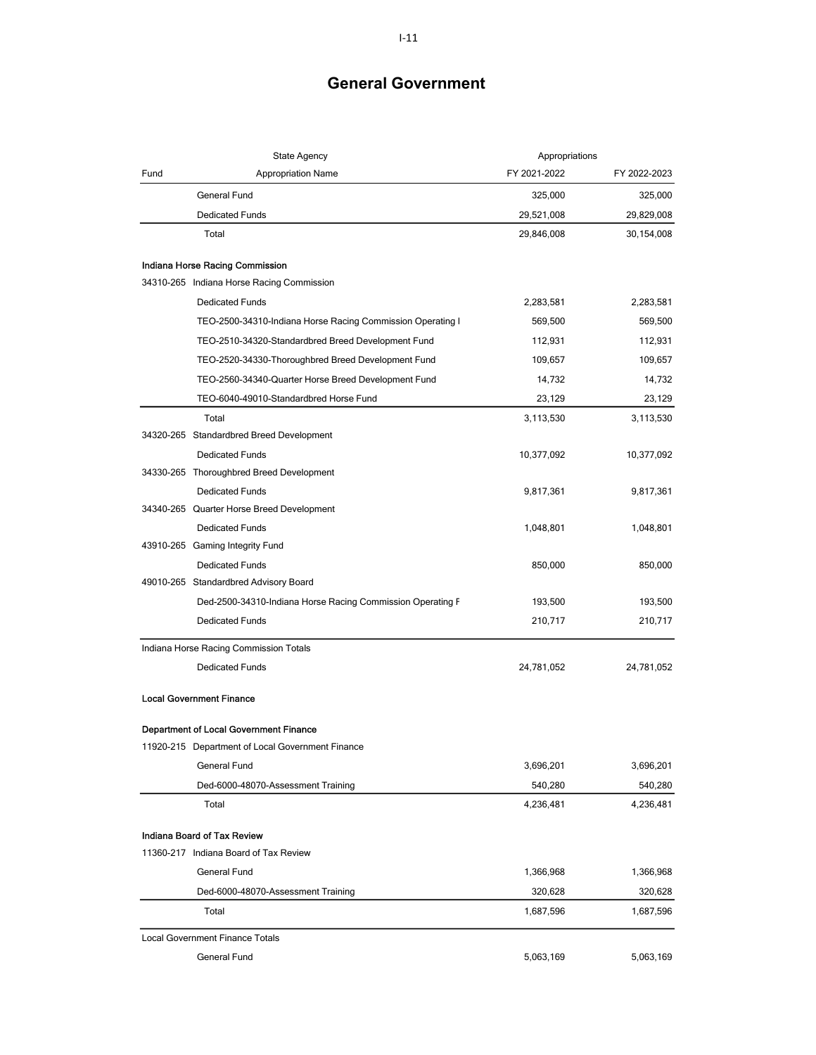|      | <b>State Agency</b>                                        | Appropriations |              |
|------|------------------------------------------------------------|----------------|--------------|
| Fund | Appropriation Name                                         | FY 2021-2022   | FY 2022-2023 |
|      | General Fund                                               | 325,000        | 325,000      |
|      | <b>Dedicated Funds</b>                                     | 29,521,008     | 29,829,008   |
|      | Total                                                      | 29,846,008     | 30,154,008   |
|      | Indiana Horse Racing Commission                            |                |              |
|      | 34310-265 Indiana Horse Racing Commission                  |                |              |
|      | <b>Dedicated Funds</b>                                     | 2,283,581      | 2,283,581    |
|      | TEO-2500-34310-Indiana Horse Racing Commission Operating I | 569,500        | 569,500      |
|      | TEO-2510-34320-Standardbred Breed Development Fund         | 112,931        | 112,931      |
|      | TEO-2520-34330-Thoroughbred Breed Development Fund         | 109,657        | 109,657      |
|      | TEO-2560-34340-Quarter Horse Breed Development Fund        | 14,732         | 14,732       |
|      | TEO-6040-49010-Standardbred Horse Fund                     | 23,129         | 23,129       |
|      | Total                                                      | 3,113,530      | 3,113,530    |
|      | 34320-265 Standardbred Breed Development                   |                |              |
|      | <b>Dedicated Funds</b>                                     | 10,377,092     | 10,377,092   |
|      | 34330-265 Thoroughbred Breed Development                   |                |              |
|      | <b>Dedicated Funds</b>                                     | 9,817,361      | 9,817,361    |
|      | 34340-265 Quarter Horse Breed Development                  |                |              |
|      | <b>Dedicated Funds</b>                                     | 1,048,801      | 1,048,801    |
|      | 43910-265 Gaming Integrity Fund                            |                |              |
|      | <b>Dedicated Funds</b>                                     | 850,000        | 850,000      |
|      | 49010-265 Standardbred Advisory Board                      |                |              |
|      | Ded-2500-34310-Indiana Horse Racing Commission Operating F | 193,500        | 193,500      |
|      | <b>Dedicated Funds</b>                                     | 210,717        | 210,717      |
|      | Indiana Horse Racing Commission Totals                     |                |              |
|      | <b>Dedicated Funds</b>                                     | 24,781,052     | 24,781,052   |
|      | <b>Local Government Finance</b>                            |                |              |
|      | Department of Local Government Finance                     |                |              |
|      | 11920-215 Department of Local Government Finance           |                |              |
|      | General Fund                                               | 3,696,201      | 3,696,201    |
|      | Ded-6000-48070-Assessment Training                         | 540,280        | 540,280      |
|      | Total                                                      | 4,236,481      | 4,236,481    |
|      | Indiana Board of Tax Review                                |                |              |
|      | 11360-217 Indiana Board of Tax Review                      |                |              |
|      | General Fund                                               | 1,366,968      | 1,366,968    |
|      | Ded-6000-48070-Assessment Training                         | 320,628        | 320,628      |
|      | Total                                                      | 1,687,596      | 1,687,596    |
|      | <b>Local Government Finance Totals</b>                     |                |              |
|      | General Fund                                               | 5,063,169      | 5,063,169    |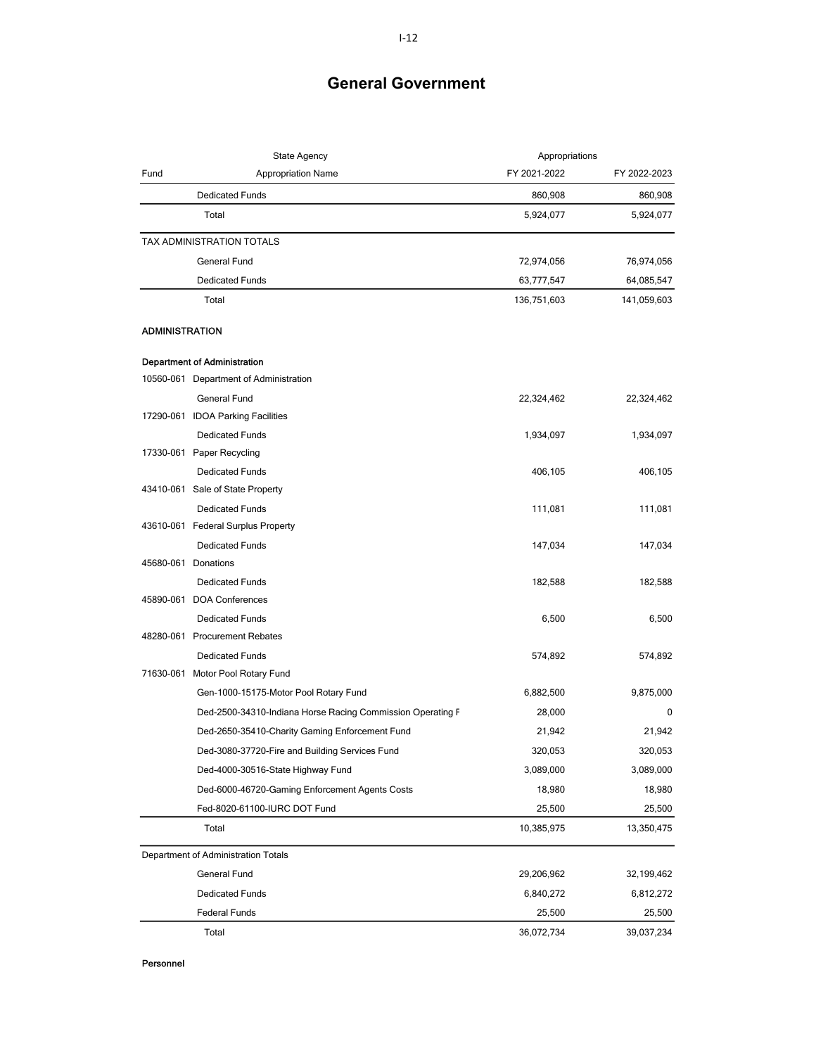|                       | State Agency<br>Appropriations                             |              |              |
|-----------------------|------------------------------------------------------------|--------------|--------------|
| Fund                  | <b>Appropriation Name</b>                                  | FY 2021-2022 | FY 2022-2023 |
|                       | <b>Dedicated Funds</b>                                     | 860,908      | 860,908      |
|                       | Total                                                      | 5,924,077    | 5,924,077    |
|                       | TAX ADMINISTRATION TOTALS                                  |              |              |
|                       | General Fund                                               | 72,974,056   | 76,974,056   |
|                       | <b>Dedicated Funds</b>                                     | 63,777,547   | 64,085,547   |
|                       | Total                                                      | 136,751,603  | 141,059,603  |
| <b>ADMINISTRATION</b> |                                                            |              |              |
|                       | <b>Department of Administration</b>                        |              |              |
|                       | 10560-061 Department of Administration                     |              |              |
|                       | General Fund                                               | 22,324,462   | 22,324,462   |
|                       | 17290-061 IDOA Parking Facilities                          |              |              |
|                       | <b>Dedicated Funds</b>                                     | 1,934,097    | 1,934,097    |
|                       | 17330-061 Paper Recycling                                  |              |              |
|                       | <b>Dedicated Funds</b>                                     | 406,105      | 406,105      |
|                       | 43410-061 Sale of State Property                           |              |              |
|                       | <b>Dedicated Funds</b>                                     | 111,081      | 111,081      |
|                       | 43610-061 Federal Surplus Property                         |              |              |
|                       | <b>Dedicated Funds</b>                                     | 147,034      | 147,034      |
|                       | 45680-061 Donations                                        |              |              |
|                       | <b>Dedicated Funds</b>                                     | 182,588      | 182,588      |
|                       | 45890-061 DOA Conferences                                  |              |              |
|                       | <b>Dedicated Funds</b>                                     | 6,500        | 6,500        |
|                       | 48280-061 Procurement Rebates                              |              |              |
|                       | <b>Dedicated Funds</b>                                     | 574,892      | 574,892      |
|                       | 71630-061 Motor Pool Rotary Fund                           |              |              |
|                       | Gen-1000-15175-Motor Pool Rotary Fund                      | 6,882,500    | 9,875,000    |
|                       | Ded-2500-34310-Indiana Horse Racing Commission Operating F | 28,000       | 0            |
|                       | Ded-2650-35410-Charity Gaming Enforcement Fund             | 21,942       | 21,942       |
|                       | Ded-3080-37720-Fire and Building Services Fund             | 320,053      | 320,053      |
|                       | Ded-4000-30516-State Highway Fund                          | 3,089,000    | 3,089,000    |
|                       | Ded-6000-46720-Gaming Enforcement Agents Costs             | 18,980       | 18,980       |
|                       | Fed-8020-61100-IURC DOT Fund                               | 25,500       | 25,500       |
|                       | Total                                                      | 10,385,975   | 13,350,475   |
|                       | Department of Administration Totals                        |              |              |
|                       | General Fund                                               | 29,206,962   | 32,199,462   |
|                       | <b>Dedicated Funds</b>                                     | 6,840,272    | 6,812,272    |
|                       | <b>Federal Funds</b>                                       | 25,500       | 25,500       |
|                       | Total                                                      | 36,072,734   | 39,037,234   |

ersonnel and the contract of the contract of the contract of the contract of the contract of the contract of the contract of the contract of the contract of the contract of the contract of the contract of the contract of t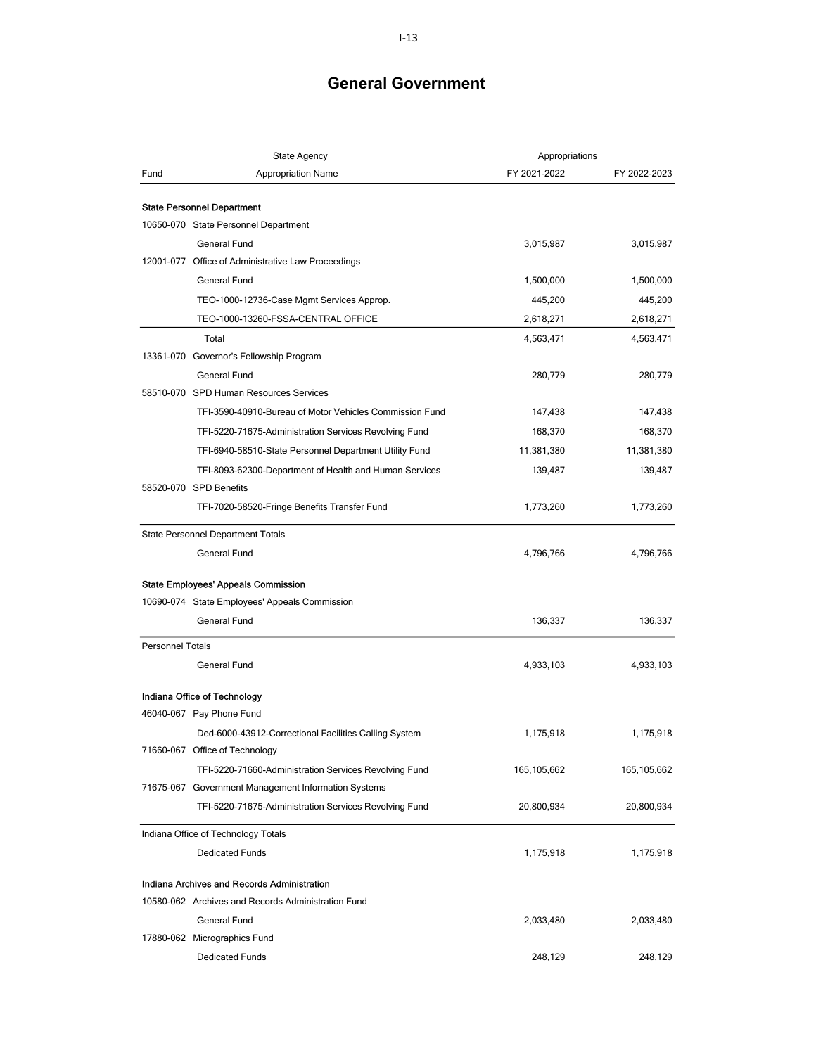|                         | <b>State Agency</b>                                                       | Appropriations |              |
|-------------------------|---------------------------------------------------------------------------|----------------|--------------|
| Fund                    | <b>Appropriation Name</b>                                                 | FY 2021-2022   | FY 2022-2023 |
|                         |                                                                           |                |              |
|                         | <b>State Personnel Department</b><br>10650-070 State Personnel Department |                |              |
|                         | General Fund                                                              | 3,015,987      | 3,015,987    |
|                         | 12001-077 Office of Administrative Law Proceedings                        |                |              |
|                         | <b>General Fund</b>                                                       | 1,500,000      | 1,500,000    |
|                         | TEO-1000-12736-Case Mgmt Services Approp.                                 | 445,200        | 445,200      |
|                         | TEO-1000-13260-FSSA-CENTRAL OFFICE                                        | 2,618,271      |              |
|                         |                                                                           |                | 2,618,271    |
|                         | Total<br>13361-070 Governor's Fellowship Program                          | 4,563,471      | 4,563,471    |
|                         | <b>General Fund</b>                                                       |                |              |
|                         | 58510-070 SPD Human Resources Services                                    | 280,779        | 280,779      |
|                         | TFI-3590-40910-Bureau of Motor Vehicles Commission Fund                   |                |              |
|                         |                                                                           | 147,438        | 147,438      |
|                         | TFI-5220-71675-Administration Services Revolving Fund                     | 168,370        | 168,370      |
|                         | TFI-6940-58510-State Personnel Department Utility Fund                    | 11,381,380     | 11,381,380   |
|                         | TFI-8093-62300-Department of Health and Human Services                    | 139,487        | 139,487      |
|                         | 58520-070 SPD Benefits                                                    |                |              |
|                         | TFI-7020-58520-Fringe Benefits Transfer Fund                              | 1,773,260      | 1,773,260    |
|                         | <b>State Personnel Department Totals</b>                                  |                |              |
|                         | <b>General Fund</b>                                                       | 4,796,766      | 4,796,766    |
|                         |                                                                           |                |              |
|                         | <b>State Employees' Appeals Commission</b>                                |                |              |
|                         | 10690-074 State Employees' Appeals Commission                             |                |              |
|                         | <b>General Fund</b>                                                       | 136,337        | 136,337      |
| <b>Personnel Totals</b> |                                                                           |                |              |
|                         | <b>General Fund</b>                                                       | 4,933,103      | 4,933,103    |
|                         | Indiana Office of Technology                                              |                |              |
|                         | 46040-067 Pay Phone Fund                                                  |                |              |
|                         | Ded-6000-43912-Correctional Facilities Calling System                     | 1,175,918      | 1,175,918    |
|                         | 71660-067 Office of Technology                                            |                |              |
|                         | TFI-5220-71660-Administration Services Revolving Fund                     | 165,105,662    | 165,105,662  |
|                         | 71675-067 Government Management Information Systems                       |                |              |
|                         | TFI-5220-71675-Administration Services Revolving Fund                     | 20,800,934     | 20,800,934   |
|                         | Indiana Office of Technology Totals                                       |                |              |
|                         | <b>Dedicated Funds</b>                                                    | 1,175,918      | 1,175,918    |
|                         | Indiana Archives and Records Administration                               |                |              |
|                         | 10580-062 Archives and Records Administration Fund                        |                |              |
|                         | <b>General Fund</b>                                                       | 2,033,480      | 2,033,480    |
|                         | 17880-062 Micrographics Fund                                              |                |              |
|                         | <b>Dedicated Funds</b>                                                    | 248,129        | 248,129      |
|                         |                                                                           |                |              |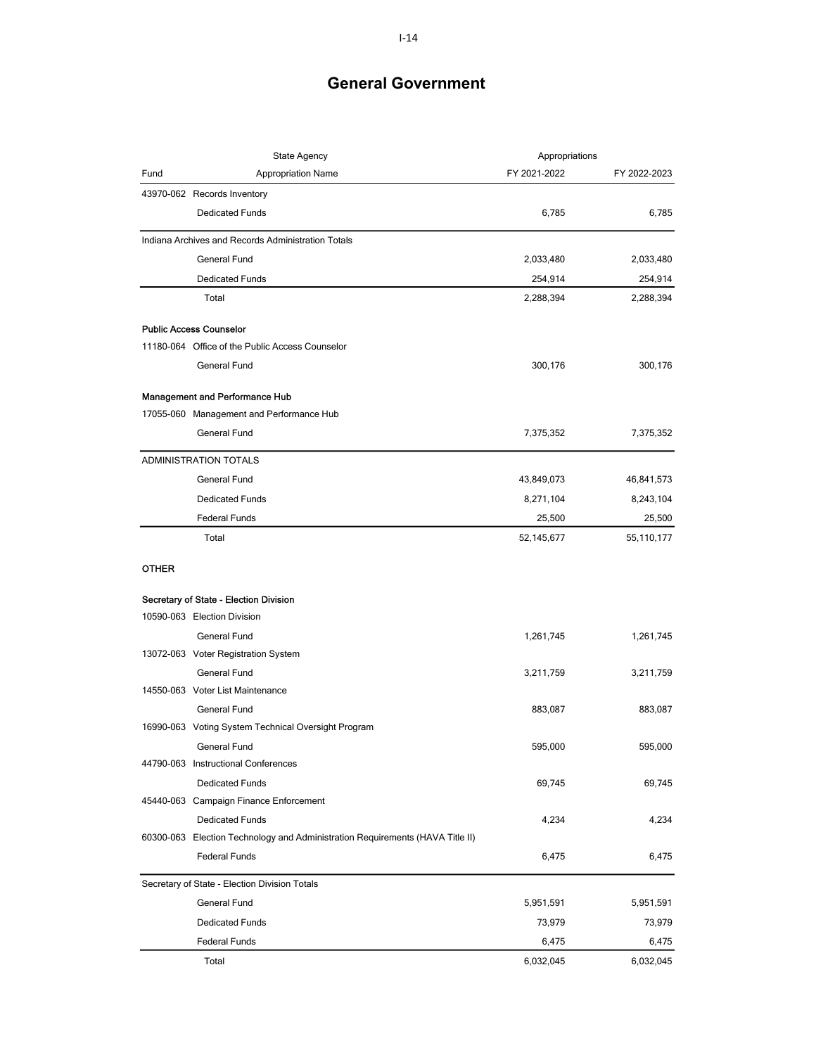|              | State Agency                                                                  | Appropriations |              |
|--------------|-------------------------------------------------------------------------------|----------------|--------------|
| Fund         | <b>Appropriation Name</b>                                                     | FY 2021-2022   | FY 2022-2023 |
|              | 43970-062 Records Inventory                                                   |                |              |
|              | <b>Dedicated Funds</b>                                                        | 6,785          | 6,785        |
|              | Indiana Archives and Records Administration Totals                            |                |              |
|              | <b>General Fund</b>                                                           | 2,033,480      | 2,033,480    |
|              | <b>Dedicated Funds</b>                                                        | 254,914        | 254,914      |
|              | Total                                                                         | 2,288,394      | 2,288,394    |
|              | <b>Public Access Counselor</b>                                                |                |              |
|              | 11180-064 Office of the Public Access Counselor                               |                |              |
|              | <b>General Fund</b>                                                           | 300,176        | 300,176      |
|              | <b>Management and Performance Hub</b>                                         |                |              |
|              | 17055-060 Management and Performance Hub                                      |                |              |
|              | General Fund                                                                  | 7,375,352      | 7,375,352    |
|              | ADMINISTRATION TOTALS                                                         |                |              |
|              | <b>General Fund</b>                                                           | 43,849,073     | 46,841,573   |
|              | <b>Dedicated Funds</b>                                                        | 8,271,104      | 8,243,104    |
|              | <b>Federal Funds</b>                                                          | 25,500         | 25,500       |
|              | Total                                                                         | 52,145,677     | 55,110,177   |
| <b>OTHER</b> |                                                                               |                |              |
|              | Secretary of State - Election Division                                        |                |              |
|              | 10590-063 Election Division                                                   |                |              |
|              | General Fund                                                                  | 1,261,745      | 1,261,745    |
|              | 13072-063 Voter Registration System                                           |                |              |
|              | <b>General Fund</b>                                                           | 3,211,759      | 3,211,759    |
|              | 14550-063 Voter List Maintenance                                              |                |              |
|              | <b>General Fund</b>                                                           | 883,087        | 883,087      |
|              | 16990-063 Voting System Technical Oversight Program                           |                |              |
|              | General Fund                                                                  | 595,000        | 595,000      |
|              | 44790-063 Instructional Conferences                                           |                |              |
|              | <b>Dedicated Funds</b>                                                        | 69,745         | 69,745       |
|              | 45440-063 Campaign Finance Enforcement                                        |                |              |
|              | <b>Dedicated Funds</b>                                                        | 4,234          | 4,234        |
|              | 60300-063 Election Technology and Administration Requirements (HAVA Title II) |                |              |
|              | <b>Federal Funds</b>                                                          | 6,475          | 6,475        |
|              | Secretary of State - Election Division Totals                                 |                |              |
|              | General Fund                                                                  | 5,951,591      | 5,951,591    |
|              | <b>Dedicated Funds</b>                                                        | 73,979         | 73,979       |
|              | <b>Federal Funds</b>                                                          | 6,475          | 6,475        |
|              | Total                                                                         | 6,032,045      | 6,032,045    |